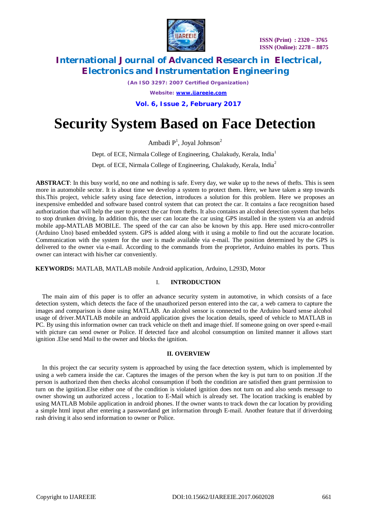

*(An ISO 3297: 2007 Certified Organization)*

*Website: [www.ijareeie.com](http://www.ijareeie.com)*

**Vol. 6, Issue 2, February 2017**

# **Security System Based on Face Detection**

Ambadi  $P^1$ , Joyal Johnson<sup>2</sup>

Dept. of ECE, Nirmala College of Engineering, Chalakudy, Kerala, India<sup>1</sup> Dept. of ECE, Nirmala College of Engineering, Chalakudy, Kerala, India<sup>2</sup>

**ABSTRACT**: In this busy world, no one and nothing is safe. Every day, we wake up to the news of thefts. This is seen more in automobile sector. It is about time we develop a system to protect them. Here, we have taken a step towards this.This project, vehicle safety using face detection, introduces a solution for this problem. Here we proposes an inexpensive embedded and software based control system that can protect the car. It contains a face recognition based authorization that will help the user to protect the car from thefts. It also contains an alcohol detection system that helps to stop drunken driving. In addition this, the user can locate the car using GPS installed in the system via an android mobile app-MATLAB MOBILE. The speed of the car can also be known by this app. Here used micro-controller (Arduino Uno) based embedded system. GPS is added along with it using a mobile to find out the accurate location. Communication with the system for the user is made available via e-mail. The position determined by the GPS is delivered to the owner via e-mail. According to the commands from the proprietor, Arduino enables its ports. Thus owner can interact with his/her car conveniently.

**KEYWORDS:** MATLAB, MATLAB mobile Android application, Arduino, L293D, Motor

### I. **INTRODUCTION**

The main aim of this paper is to offer an advance security system in automotive, in which consists of a face detection system, which detects the face of the unauthorized person entered into the car, a web camera to capture the images and comparison is done using MATLAB. An alcohol sensor is connected to the Arduino board sense alcohol usage of driver.MATLAB mobile an android application gives the location details, speed of vehicle to MATLAB in PC. By using this information owner can track vehicle on theft and image thief. If someone going on over speed e-mail with picture can send owner or Police. If detected face and alcohol consumption on limited manner it allows start ignition .Else send Mail to the owner and blocks the ignition.

### **II. OVERVIEW**

In this project the car security system is approached by using the face detection system, which is implemented by using a web camera inside the car. Captures the images of the person when the key is put turn to on position .If the person is authorized then then checks alcohol consumption if both the condition are satisfied then grant permission to turn on the ignition.Else either one of the condition is violated ignition does not turn on and also sends message to owner showing un authorized access , location to E-Mail which is already set. The location tracking is enabled by using MATLAB Mobile application in android phones. If the owner wants to track down the car location by providing a simple html input after entering a passwordand get information through E-mail. Another feature that if driverdoing rash driving it also send information to owner or Police.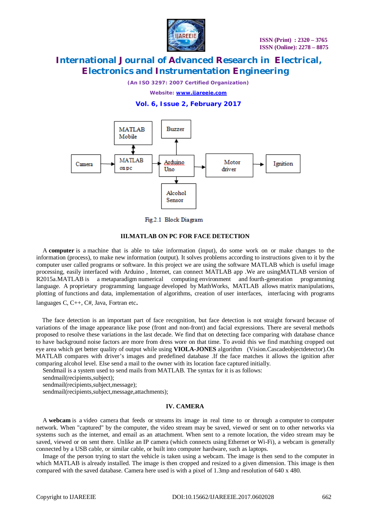

*(An ISO 3297: 2007 Certified Organization)*

*Website: [www.ijareeie.com](http://www.ijareeie.com)*

#### **Vol. 6, Issue 2, February 2017**



Fig.2.1 Block Diagram

### **III.MATLAB ON PC FOR FACE DETECTION**

A **computer** is a machine that is able to take information (input), do some work on or make changes to the information (process), to make new information (output). It solves problems according to instructions given to it by the computer user called programs or software. In this project we are using the software MATLAB which is useful image processing, easily interfaced with Arduino , Internet, can connect MATLAB app .We are usingMATLAB version of R2015a.MATLAB is a metaparadigm numerical computing environment and fourth-generation programming language. A proprietary programming language developed by MathWorks, MATLAB allows matrix manipulations, plotting of functions and data, implementation of algorithms, creation of user interfaces, interfacing with programs

languages C, C++, C#, Java, Fortran etc.

The face detection is an important part of face recognition, but face detection is not straight forward because of variations of the image appearance like pose (front and non-front) and facial expressions. There are several methods proposed to resolve these variations in the last decade. We find that on detecting face comparing with database chance to have background noise factors are more from dress wore on that time. To avoid this we find matching cropped out eye area which get better quality of output while using **VIOLA-JONES** algorithm (Vision.Cascadeobjectdetector).On MATLAB compares with driver's images and predefined database .If the face matches it allows the ignition after comparing alcohol level. Else send a mail to the owner with its location face captured initially.

Sendmail is a system used to send mails from MATLAB. The syntax for it is as follows:

- sendmail(recipients, subject);
- sendmail(recipients,subject,message);
- sendmail(recipients, subject, message, attachments);

### **IV. CAMERA**

A **webcam** is a video camera that feeds or streams its image in real time to or through a computer to computer network. When "captured" by the computer, the video stream may be saved, viewed or sent on to other networks via systems such as the internet, and email as an attachment. When sent to a remote location, the video stream may be saved, viewed or on sent there. Unlike an IP camera (which connects using Ethernet or Wi-Fi), a webcam is generally connected by a USB cable, or similar cable, or built into computer hardware, such as laptops.

Image of the person trying to start the vehicle is taken using a webcam. The image is then send to the computer in which MATLAB is already installed. The image is then cropped and resized to a given dimension. This image is then compared with the saved database. Camera here used is with a pixel of 1.3mp and resolution of 640 x 480.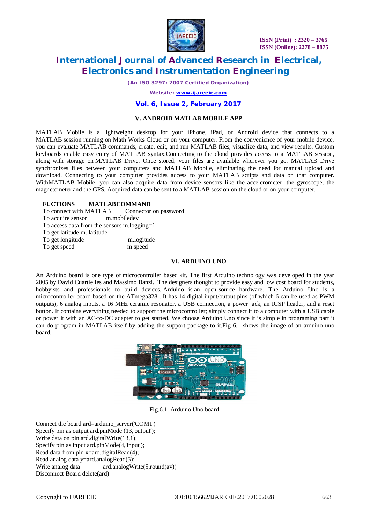

**ISSN (Print) : 2320 – 3765 ISSN (Online): 2278 – 8875**

# **International Journal of Advanced Research in Electrical, Electronics and Instrumentation Engineering**

*(An ISO 3297: 2007 Certified Organization)*

*Website: [www.ijareeie.com](http://www.ijareeie.com)*

### **Vol. 6, Issue 2, February 2017**

### **V. ANDROID MATLAB MOBILE APP**

MATLAB Mobile is a lightweight desktop for your iPhone, iPad, or Android device that connects to a MATLAB session running on Math Works Cloud or on your computer. From the convenience of your mobile device, you can evaluate MATLAB commands, create, edit, and run MATLAB files, visualize data, and view results. Custom keyboards enable easy entry of MATLAB syntax.Connecting to the cloud provides access to a MATLAB session, along with storage on MATLAB Drive. Once stored, your files are available wherever you go. MATLAB Drive synchronizes files between your computers and MATLAB Mobile, eliminating the need for manual upload and download. Connecting to your computer provides access to your MATLAB scripts and data on that computer. WithMATLAB Mobile, you can also acquire data from device sensors like the accelerometer, the gyroscope, the magnetometer and the GPS. Acquired data can be sent to a MATLAB session on the cloud or on your computer.

#### **FUCTIONS MATLABCOMMAND**

To connect with MATLAB Connector on password To acquire sensor m.mobiledev To access data from the sensors m.logging=1 To get latitude m. latitude To get longitude m.logitude To get speed m.speed

#### **VI. ARDUINO UNO**

An Arduino board is one type of microcontroller based kit. The first Arduino technology was developed in the year 2005 by David Cuartielles and Massimo Banzi. The designers thought to provide easy and low cost board for students, hobbyists and professionals to build devices. Arduino is an open-source hardware. The Arduino Uno is a microcontroller board based on the ATmega328 . It has 14 digital input/output pins (of which 6 can be used as PWM outputs), 6 analog inputs, a 16 MHz ceramic resonator, a USB connection, a power jack, an ICSP header, and a reset button. It contains everything needed to support the microcontroller; simply connect it to a computer with a USB cable or power it with an AC-to-DC adapter to get started. We choose Arduino Uno since it is simple in programing part it can do program in MATLAB itself by adding the support package to it.Fig 6.1 shows the image of an arduino uno board.



Fig.6.1. Arduino Uno board.

Connect the board ard=arduino\_server('COM1') Specify pin as output ard.pinMode (13,'output'); Write data on pin ard.digitalWrite(13,1); Specify pin as input ard.pinMode(4,'input'); Read data from pin  $x=ard$ .digitalRead(4); Read analog data y=ard.analogRead(5);<br>Write analog data ard.analogW  $ard. analogWrite(5, round(av))$ Disconnect Board delete(ard)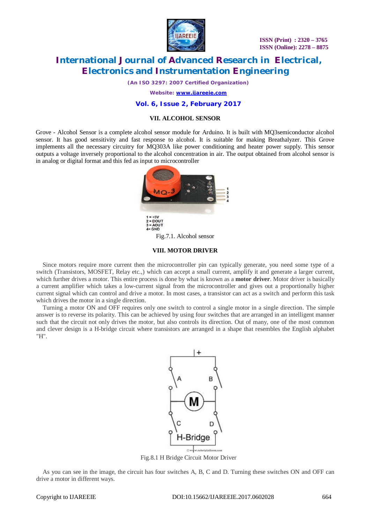

*(An ISO 3297: 2007 Certified Organization)*

*Website: [www.ijareeie.com](http://www.ijareeie.com)*

### **Vol. 6, Issue 2, February 2017**

#### **VII. ALCOHOL SENSOR**

Grove - Alcohol Sensor is a complete alcohol sensor module for Arduino. It is built with MQ3semiconductor alcohol sensor. It has good sensitivity and fast response to alcohol. It is suitable for making Breathalyzer. This Grove implements all the necessary circuitry for MQ303A like power conditioning and heater power supply. This sensor outputs a voltage inversely proportional to the alcohol concentration in air. The output obtained from alcohol sensor is in analog or digital format and this fed as input to microcontroller



Fig.7.1. Alcohol sensor

### **VIII. MOTOR DRIVER**

Since motors require more current then the microcontroller pin can typically generate, you need some type of a switch (Transistors, MOSFET, Relay etc.,) which can accept a small current, amplify it and generate a larger current, which further drives a motor. This entire process is done by what is known as a **motor driver**. Motor driver is basically a current amplifier which takes a low-current signal from the microcontroller and gives out a proportionally higher current signal which can control and drive a motor. In most cases, a transistor can act as a switch and perform this task which drives the motor in a single direction.

Turning a motor ON and OFF requires only one switch to control a single motor in a single direction. The simple answer is to reverse its polarity. This can be achieved by using four switches that are arranged in an intelligent manner such that the circuit not only drives the motor, but also controls its direction. Out of many, one of the most common and clever design is a H-bridge circuit where transistors are arranged in a shape that resembles the English alphabet "H".



Fig.8.1 H Bridge Circuit Motor Driver

As you can see in the image, the circuit has four switches A, B, C and D. Turning these switches ON and OFF can drive a motor in different ways.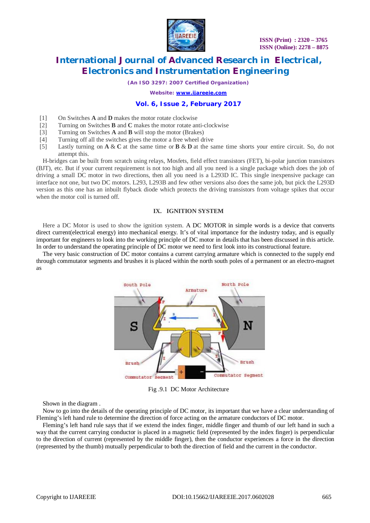

*(An ISO 3297: 2007 Certified Organization)*

*Website: [www.ijareeie.com](http://www.ijareeie.com)*

### **Vol. 6, Issue 2, February 2017**

- [1] On Switches **A** and **D** makes the motor rotate clockwise
- [2] Turning on Switches **B** and **C** makes the motor rotate anti-clockwise
- [3] Turning on Switches **A** and **B** will stop the motor (Brakes)
- Turning off all the switches gives the motor a free wheel drive
- [5] Lastly turning on **A** & **C** at the same time or **B** & **D** at the same time shorts your entire circuit. So, do not attempt this.

H-bridges can be built from scratch using relays, Mosfets, field effect transistors (FET), bi-polar junction transistors (BJT), etc. But if your current requirement is not too high and all you need is a single package which does the job of driving a small DC motor in two directions, then all you need is a L293D IC. This single inexpensive package can interface not one, but two DC motors. L293, L293B and few other versions also does the same job, but pick the L293D version as this one has an inbuilt flyback diode which protects the driving transistors from voltage spikes that occur when the motor coil is turned off.

### **IX. IGNITION SYSTEM**

Here a DC Motor is used to show the ignition system. A DC MOTOR in simple words is a device that converts direct current(electrical energy) into mechanical energy. It's of vital importance for the industry today, and is equally important for engineers to look into the working principle of DC motor in details that has been discussed in this article. In order to understand the operating principle of DC motor we need to first look into its constructional feature.

The very basic construction of DC motor contains a current carrying armature which is connected to the supply end through commutator segments and brushes it is placed within the north south poles of a permanent or an electro-magnet as



Fig .9.1 DC Motor Architecture

Shown in the diagram .

Now to go into the details of the operating principle of DC motor, its important that we have a clear understanding of Fleming's left hand rule to determine the direction of force acting on the armature conductors of DC motor.

Fleming's left hand rule says that if we extend the index finger, middle finger and thumb of our left hand in such a way that the current carrying conductor is placed in a magnetic field (represented by the index finger) is perpendicular to the direction of current (represented by the middle finger), then the conductor experiences a force in the direction (represented by the thumb) mutually perpendicular to both the direction of field and the current in the conductor.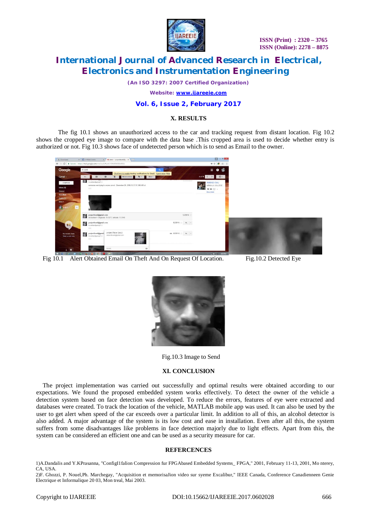

*(An ISO 3297: 2007 Certified Organization)*

*Website: [www.ijareeie.com](http://www.ijareeie.com)*

### **Vol. 6, Issue 2, February 2017**

### **X. RESULTS**

The fig 10.1 shows an unauthorized access to the car and tracking request from distant location. Fig 10.2 shows the cropped eye image to compare with the data base .This cropped area is used to decide whether entry is authorized or not. Fig 10.3 shows face of undetected person which is to send as Email to the owner.







Fig 10.1 Alert Obtained Email On Theft And On Request Of Location. Fig.10.2 Detected Eye



Fig.10.3 Image to Send

#### **XI. CONCLUSION**

The project implementation was carried out successfully and optimal results were obtained according to our expectations. We found the proposed embedded system works effectively. To detect the owner of the vehicle a detection system based on face detection was developed. To reduce the errors, features of eye were extracted and databases were created. To track the location of the vehicle, MATLAB mobile app was used. It can also be used by the user to get alert when speed of the car exceeds over a particular limit. In addition to all of this, an alcohol detector is also added. A major advantage of the system is its low cost and ease in installation. Even after all this, the system suffers from some disadvantages like problems in face detection majorly due to light effects. Apart from this, the system can be considered an efficient one and can be used as a security measure for car.

#### **REFERCENCES**

- 1)A.Dandalis and Y.KPrasanna, "ConfigI1falion Compression fur FPGAbased Embedded Systems\_ FPGA," 2001, February 11-13, 2001, Mo nterey, CA, USA.
- 2)F. Ghozzi, P. Nouel,Ph. Marchegay, "Acquisition et memorisaJion video sur syeme Excalibur," IEEE Canada, Conference Canadienneen Genie Electrique et Informalique 20 03, Mon treal, Mai 2003.